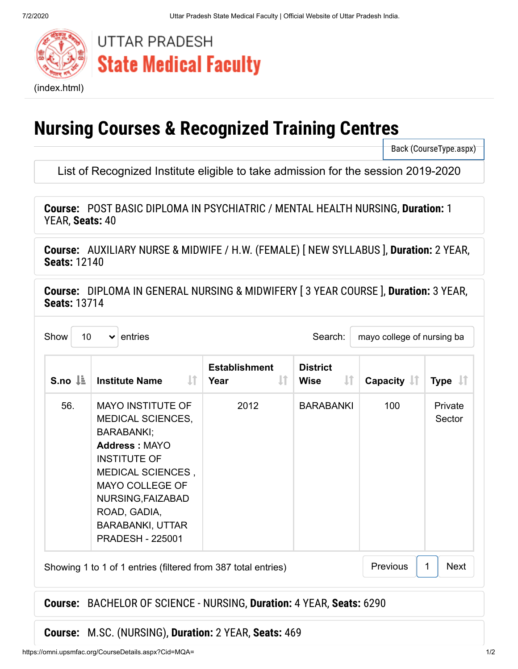

# **UTTAR PRADESH State Medical Faculty**

# **Nursing Courses & Recognized Training Centres**

[Back \(CourseType.aspx\)](https://omni.upsmfac.org/CourseType.aspx)

List of Recognized Institute eligible to take admission for the session 2019-2020

**Course:**  POST BASIC DIPLOMA IN PSYCHIATRIC / MENTAL HEALTH NURSING, **Duration:** 1 YEAR, **Seats:** 40

**Course:**  AUXILIARY NURSE & MIDWIFE / H.W. (FEMALE) [ NEW SYLLABUS ], **Duration:** 2 YEAR, **Seats:** 12140

**Course:**  [DIPLOMA IN GENERAL NURSING & MIDWIFERY \[ 3 YEAR COURSE \],](#page-0-0) **Duration:** 3 YEAR, **Seats:** 13714

<span id="page-0-0"></span>

|     | IJ<br><b>Institute Name</b>                                                                                                                                                                                                                          | IJ<br>Year | $\mathbf{\mu}$<br><b>Wise</b> | Capacity $\  \cdot \ $ | Type $\downarrow$ T |
|-----|------------------------------------------------------------------------------------------------------------------------------------------------------------------------------------------------------------------------------------------------------|------------|-------------------------------|------------------------|---------------------|
| 56. | <b>MAYO INSTITUTE OF</b><br>MEDICAL SCIENCES,<br>BARABANKI;<br><b>Address: MAYO</b><br><b>INSTITUTE OF</b><br>MEDICAL SCIENCES,<br><b>MAYO COLLEGE OF</b><br>NURSING, FAIZABAD<br>ROAD, GADIA,<br><b>BARABANKI, UTTAR</b><br><b>PRADESH - 225001</b> | 2012       | <b>BARABANKI</b>              | 100                    | Private<br>Sector   |

### **Course:**  BACHELOR OF SCIENCE - NURSING, **Duration:** 4 YEAR, **Seats:** 6290

**Course:**  M.SC. (NURSING), **Duration:** 2 YEAR, **Seats:** 469